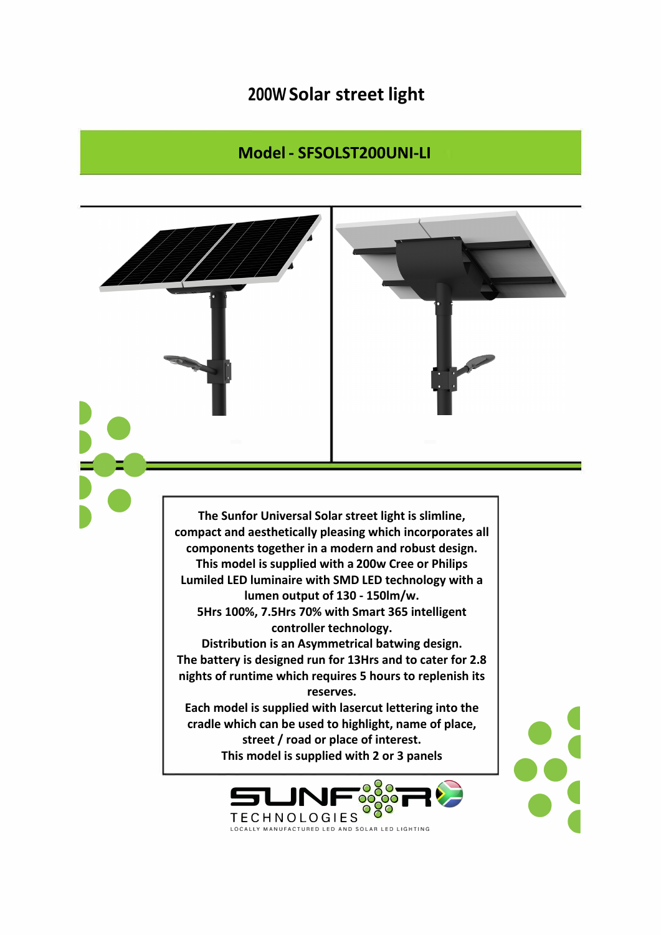## **200W Solar street light**

## **Model - SFSOLST200UNI-LI**